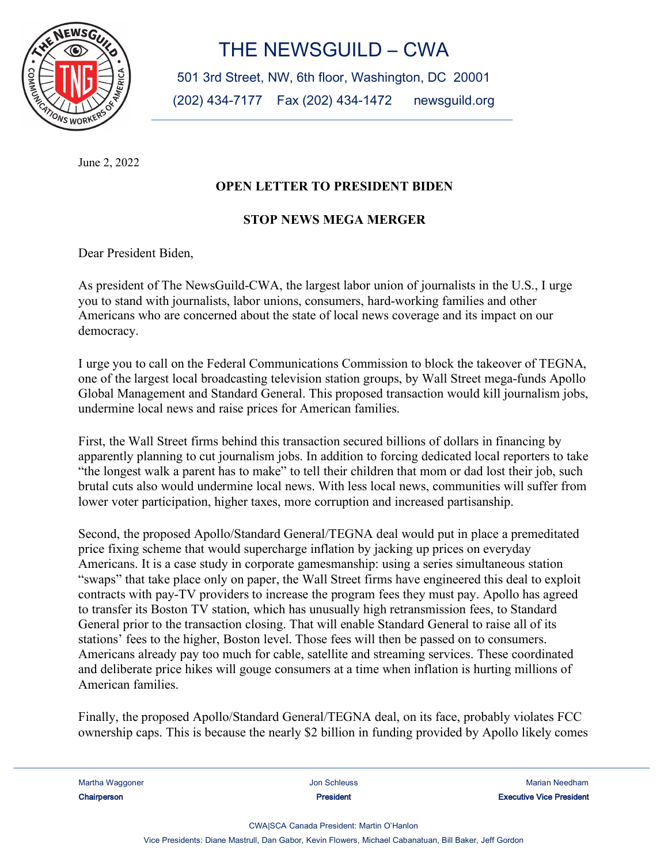

## THE NEWSGUILD - CWA

501 3rd Street, NW, 6th floor, Washington, DC 20001 (202) 434-7177 Fax (202) 434-1472 newsguild.org

June 2, 2022

## **OPEN LETTER TO PRESIDENT BIDEN**

## **STOP NEWS MEGA MERGER**

Dear President Biden,

As president of The NewsGuild-CWA, the largest labor union of journalists in the U.S., I urge you to stand with journalists, labor unions, consumers, hard-working families and other Americans who are concerned about the state of local news coverage and its impact on our democracy.

I urge you to call on the Federal Communications Commission to block the takeover of TEGNA, one of the largest local broadcasting television station groups, by Wall Street mega-funds Apollo Global Management and Standard General. This proposed transaction would kill journalism jobs, undermine local news and raise prices for American families.

First, the Wall Street firms behind this transaction secured billions of dollars in financing by apparently planning to cut journalism jobs. In addition to forcing dedicated local reporters to take "the longest walk a parent has to make" to tell their children that mom or dad lost their job, such brutal cuts also would undermine local news. With less local news, communities will suffer from lower voter participation, higher taxes, more corruption and increased partisanship.

Second, the proposed Apollo/Standard General/TEGNA deal would put in place a premeditated price fixing scheme that would supercharge inflation by jacking up prices on everyday Americans. It is a case study in corporate gamesmanship: using a series simultaneous station "swaps" that take place only on paper, the Wall Street firms have engineered this deal to exploit contracts with pay-TV providers to increase the program fees they must pay. Apollo has agreed to transfer its Boston TV station, which has unusually high retransmission fees, to Standard General prior to the transaction closing. That will enable Standard General to raise all of its stations' fees to the higher, Boston level. Those fees will then be passed on to consumers. Americans already pay too much for cable, satellite and streaming services. These coordinated and deliberate price hikes will gouge consumers at a time when inflation is hurting millions of American families.

Finally, the proposed Apollo/Standard General/TEGNA deal, on its face, probably violates FCC ownership caps. This is because the nearly \$2 billion in funding provided by Apollo likely comes

Martha Waggoner **Martha Martha Character Community** Jon Schleuss **Martha Martha Meedham** Meedham .: Chairperson The Chairperson Chairperson The State of the State of the State of the State of the State of the State of the State of the State of the State of the State of the State of the State of the State of the State

CWAISCA Canada President: Martin O'Hanlon